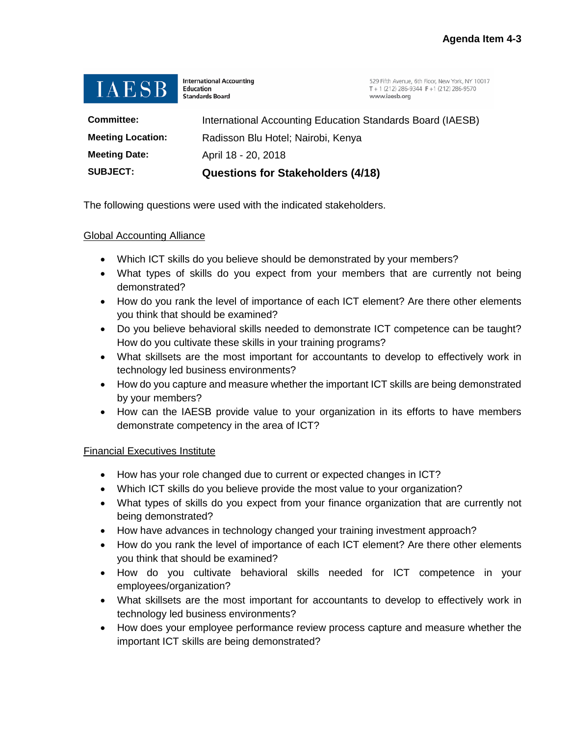

**International Accounting Education Standards Board** 

529 Fifth Avenue, 6th Floor, New York, NY 10017 T + 1 (212) 286-9344 F + 1 (212) 286-9570 www.iaesb.org

| <b>SUBJECT:</b>          | <b>Questions for Stakeholders (4/18)</b>                   |
|--------------------------|------------------------------------------------------------|
| <b>Meeting Date:</b>     | April 18 - 20, 2018                                        |
| <b>Meeting Location:</b> | Radisson Blu Hotel; Nairobi, Kenya                         |
| <b>Committee:</b>        | International Accounting Education Standards Board (IAESB) |

The following questions were used with the indicated stakeholders.

#### Global Accounting Alliance

- Which ICT skills do you believe should be demonstrated by your members?
- What types of skills do you expect from your members that are currently not being demonstrated?
- How do you rank the level of importance of each ICT element? Are there other elements you think that should be examined?
- Do you believe behavioral skills needed to demonstrate ICT competence can be taught? How do you cultivate these skills in your training programs?
- What skillsets are the most important for accountants to develop to effectively work in technology led business environments?
- How do you capture and measure whether the important ICT skills are being demonstrated by your members?
- How can the IAESB provide value to your organization in its efforts to have members demonstrate competency in the area of ICT?

#### Financial Executives Institute

- How has your role changed due to current or expected changes in ICT?
- Which ICT skills do you believe provide the most value to your organization?
- What types of skills do you expect from your finance organization that are currently not being demonstrated?
- How have advances in technology changed your training investment approach?
- How do you rank the level of importance of each ICT element? Are there other elements you think that should be examined?
- How do you cultivate behavioral skills needed for ICT competence in your employees/organization?
- What skillsets are the most important for accountants to develop to effectively work in technology led business environments?
- How does your employee performance review process capture and measure whether the important ICT skills are being demonstrated?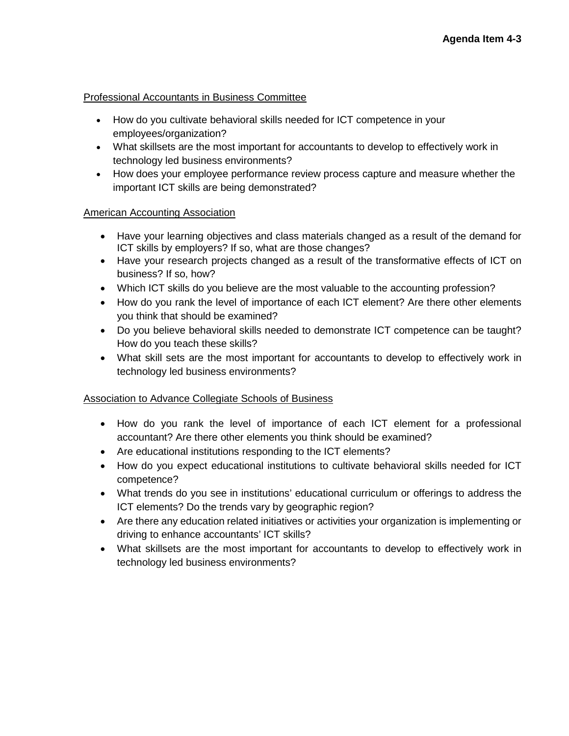#### Professional Accountants in Business Committee

- How do you cultivate behavioral skills needed for ICT competence in your employees/organization?
- What skillsets are the most important for accountants to develop to effectively work in technology led business environments?
- How does your employee performance review process capture and measure whether the important ICT skills are being demonstrated?

### American Accounting Association

- Have your learning objectives and class materials changed as a result of the demand for ICT skills by employers? If so, what are those changes?
- Have your research projects changed as a result of the transformative effects of ICT on business? If so, how?
- Which ICT skills do you believe are the most valuable to the accounting profession?
- How do you rank the level of importance of each ICT element? Are there other elements you think that should be examined?
- Do you believe behavioral skills needed to demonstrate ICT competence can be taught? How do you teach these skills?
- What skill sets are the most important for accountants to develop to effectively work in technology led business environments?

# Association to Advance Collegiate Schools of Business

- How do you rank the level of importance of each ICT element for a professional accountant? Are there other elements you think should be examined?
- Are educational institutions responding to the ICT elements?
- How do you expect educational institutions to cultivate behavioral skills needed for ICT competence?
- What trends do you see in institutions' educational curriculum or offerings to address the ICT elements? Do the trends vary by geographic region?
- Are there any education related initiatives or activities your organization is implementing or driving to enhance accountants' ICT skills?
- What skillsets are the most important for accountants to develop to effectively work in technology led business environments?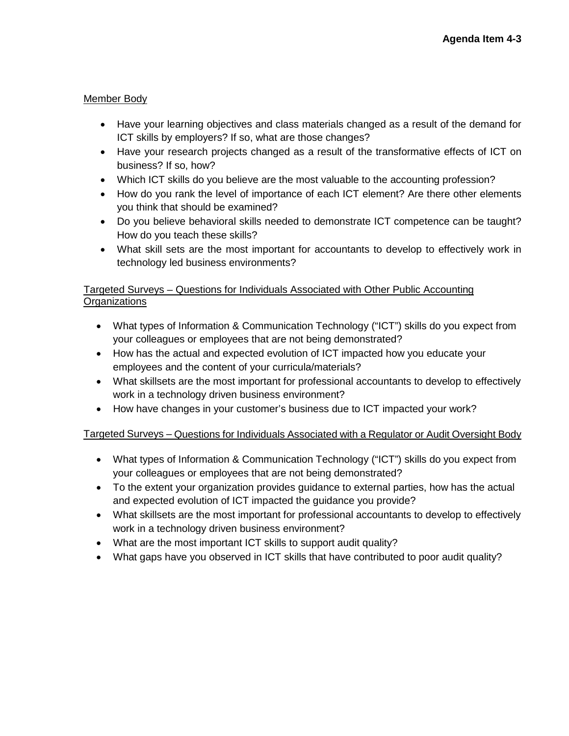### Member Body

- Have your learning objectives and class materials changed as a result of the demand for ICT skills by employers? If so, what are those changes?
- Have your research projects changed as a result of the transformative effects of ICT on business? If so, how?
- Which ICT skills do you believe are the most valuable to the accounting profession?
- How do you rank the level of importance of each ICT element? Are there other elements you think that should be examined?
- Do you believe behavioral skills needed to demonstrate ICT competence can be taught? How do you teach these skills?
- What skill sets are the most important for accountants to develop to effectively work in technology led business environments?

### Targeted Surveys – Questions for Individuals Associated with Other Public Accounting **Organizations**

- What types of Information & Communication Technology ("ICT") skills do you expect from your colleagues or employees that are not being demonstrated?
- How has the actual and expected evolution of ICT impacted how you educate your employees and the content of your curricula/materials?
- What skillsets are the most important for professional accountants to develop to effectively work in a technology driven business environment?
- How have changes in your customer's business due to ICT impacted your work?

# Targeted Surveys – Questions for Individuals Associated with a Regulator or Audit Oversight Body

- What types of Information & Communication Technology ("ICT") skills do you expect from your colleagues or employees that are not being demonstrated?
- To the extent your organization provides guidance to external parties, how has the actual and expected evolution of ICT impacted the guidance you provide?
- What skillsets are the most important for professional accountants to develop to effectively work in a technology driven business environment?
- What are the most important ICT skills to support audit quality?
- What gaps have you observed in ICT skills that have contributed to poor audit quality?